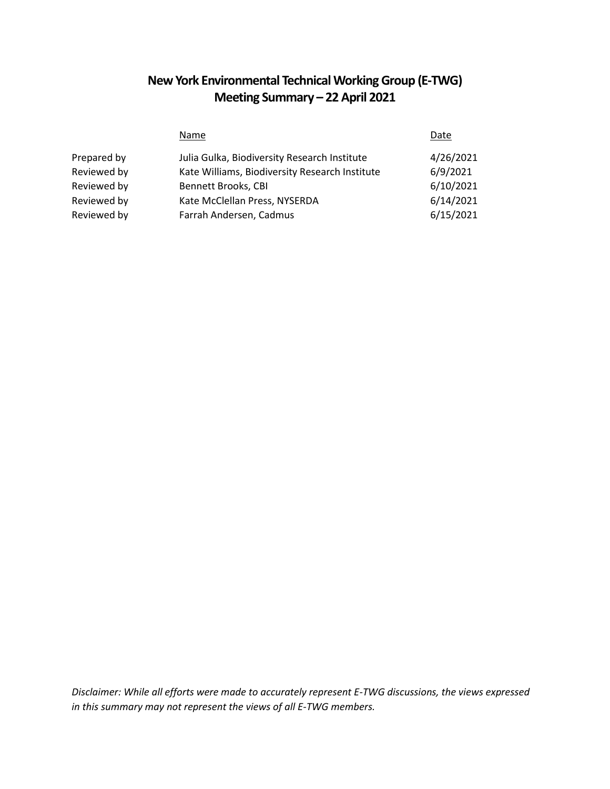# **New York Environmental Technical Working Group (E-TWG) Meeting Summary – 22 April 2021**

|             | Name                                           | Date      |
|-------------|------------------------------------------------|-----------|
| Prepared by | Julia Gulka, Biodiversity Research Institute   | 4/26/2021 |
| Reviewed by | Kate Williams, Biodiversity Research Institute | 6/9/2021  |
| Reviewed by | <b>Bennett Brooks, CBI</b>                     | 6/10/2021 |
| Reviewed by | Kate McClellan Press, NYSERDA                  | 6/14/2021 |
| Reviewed by | Farrah Andersen, Cadmus                        | 6/15/2021 |

*Disclaimer: While all efforts were made to accurately represent E-TWG discussions, the views expressed in this summary may not represent the views of all E-TWG members.*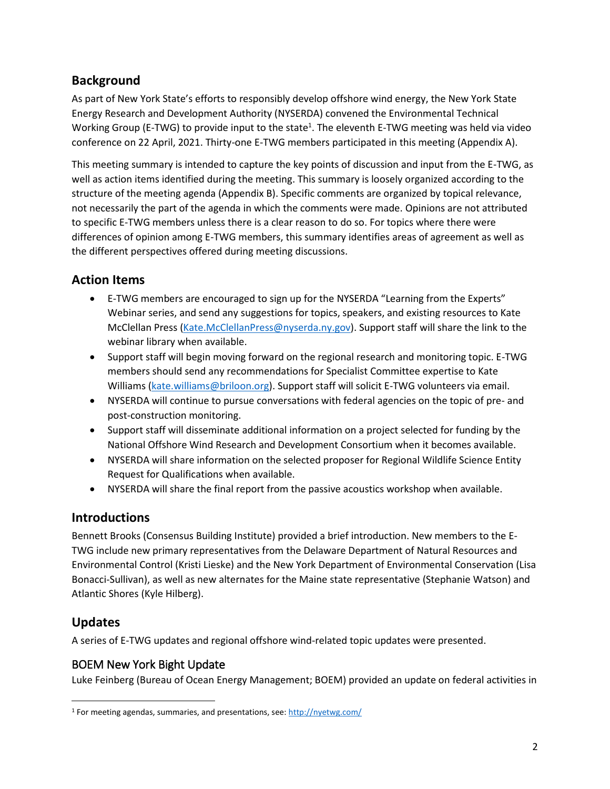# **Background**

As part of New York State's efforts to responsibly develop offshore wind energy, the New York State Energy Research and Development Authority (NYSERDA) convened the Environmental Technical Working Group (E-TWG) to provide input to the state<sup>1</sup>. The eleventh E-TWG meeting was held via video conference on 22 April, 2021. Thirty-one E-TWG members participated in this meeting (Appendix A).

This meeting summary is intended to capture the key points of discussion and input from the E-TWG, as well as action items identified during the meeting. This summary is loosely organized according to the structure of the meeting agenda (Appendix B). Specific comments are organized by topical relevance, not necessarily the part of the agenda in which the comments were made. Opinions are not attributed to specific E-TWG members unless there is a clear reason to do so. For topics where there were differences of opinion among E-TWG members, this summary identifies areas of agreement as well as the different perspectives offered during meeting discussions.

## **Action Items**

- E-TWG members are encouraged to sign up for the NYSERDA "Learning from the Experts" Webinar series, and send any suggestions for topics, speakers, and existing resources to Kate McClellan Press [\(Kate.McClellanPress@nyserda.ny.gov\)](mailto:Kate.McClellanPress@nyserda.ny.gov). Support staff will share the link to the webinar library when available.
- Support staff will begin moving forward on the regional research and monitoring topic. E-TWG members should send any recommendations for Specialist Committee expertise to Kate Williams [\(kate.williams@briloon.org\)](mailto:kate.williams@briloon.org). Support staff will solicit E-TWG volunteers via email.
- NYSERDA will continue to pursue conversations with federal agencies on the topic of pre- and post-construction monitoring.
- Support staff will disseminate additional information on a project selected for funding by the National Offshore Wind Research and Development Consortium when it becomes available.
- NYSERDA will share information on the selected proposer for Regional Wildlife Science Entity Request for Qualifications when available.
- NYSERDA will share the final report from the passive acoustics workshop when available.

## **Introductions**

Bennett Brooks (Consensus Building Institute) provided a brief introduction. New members to the E-TWG include new primary representatives from the Delaware Department of Natural Resources and Environmental Control (Kristi Lieske) and the New York Department of Environmental Conservation (Lisa Bonacci-Sullivan), as well as new alternates for the Maine state representative (Stephanie Watson) and Atlantic Shores (Kyle Hilberg).

## **Updates**

 $\overline{a}$ 

A series of E-TWG updates and regional offshore wind-related topic updates were presented.

## BOEM New York Bight Update

Luke Feinberg (Bureau of Ocean Energy Management; BOEM) provided an update on federal activities in

<sup>&</sup>lt;sup>1</sup> For meeting agendas, summaries, and presentations, see:<http://nyetwg.com/>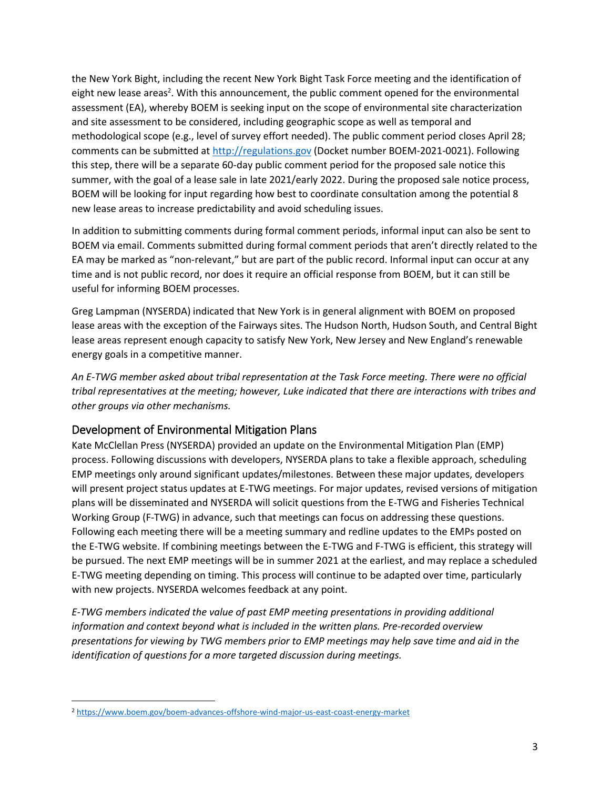the New York Bight, including the recent New York Bight Task Force meeting and the identification of eight new lease areas<sup>2</sup>. With this announcement, the public comment opened for the environmental assessment (EA), whereby BOEM is seeking input on the scope of environmental site characterization and site assessment to be considered, including geographic scope as well as temporal and methodological scope (e.g., level of survey effort needed). The public comment period closes April 28; comments can be submitted at [http://regulations.gov](http://regulations.gov/) (Docket number BOEM-2021-0021). Following this step, there will be a separate 60-day public comment period for the proposed sale notice this summer, with the goal of a lease sale in late 2021/early 2022. During the proposed sale notice process, BOEM will be looking for input regarding how best to coordinate consultation among the potential 8 new lease areas to increase predictability and avoid scheduling issues.

In addition to submitting comments during formal comment periods, informal input can also be sent to BOEM via email. Comments submitted during formal comment periods that aren't directly related to the EA may be marked as "non-relevant," but are part of the public record. Informal input can occur at any time and is not public record, nor does it require an official response from BOEM, but it can still be useful for informing BOEM processes.

Greg Lampman (NYSERDA) indicated that New York is in general alignment with BOEM on proposed lease areas with the exception of the Fairways sites. The Hudson North, Hudson South, and Central Bight lease areas represent enough capacity to satisfy New York, New Jersey and New England's renewable energy goals in a competitive manner.

*An E-TWG member asked about tribal representation at the Task Force meeting. There were no official tribal representatives at the meeting; however, Luke indicated that there are interactions with tribes and other groups via other mechanisms.*

#### Development of Environmental Mitigation Plans

Kate McClellan Press (NYSERDA) provided an update on the Environmental Mitigation Plan (EMP) process. Following discussions with developers, NYSERDA plans to take a flexible approach, scheduling EMP meetings only around significant updates/milestones. Between these major updates, developers will present project status updates at E-TWG meetings. For major updates, revised versions of mitigation plans will be disseminated and NYSERDA will solicit questions from the E-TWG and Fisheries Technical Working Group (F-TWG) in advance, such that meetings can focus on addressing these questions. Following each meeting there will be a meeting summary and redline updates to the EMPs posted on the E-TWG website. If combining meetings between the E-TWG and F-TWG is efficient, this strategy will be pursued. The next EMP meetings will be in summer 2021 at the earliest, and may replace a scheduled E-TWG meeting depending on timing. This process will continue to be adapted over time, particularly with new projects. NYSERDA welcomes feedback at any point.

*E-TWG members indicated the value of past EMP meeting presentations in providing additional information and context beyond what is included in the written plans. Pre-recorded overview presentations for viewing by TWG members prior to EMP meetings may help save time and aid in the identification of questions for a more targeted discussion during meetings.*

 $\overline{a}$ 

<sup>2</sup> <https://www.boem.gov/boem-advances-offshore-wind-major-us-east-coast-energy-market>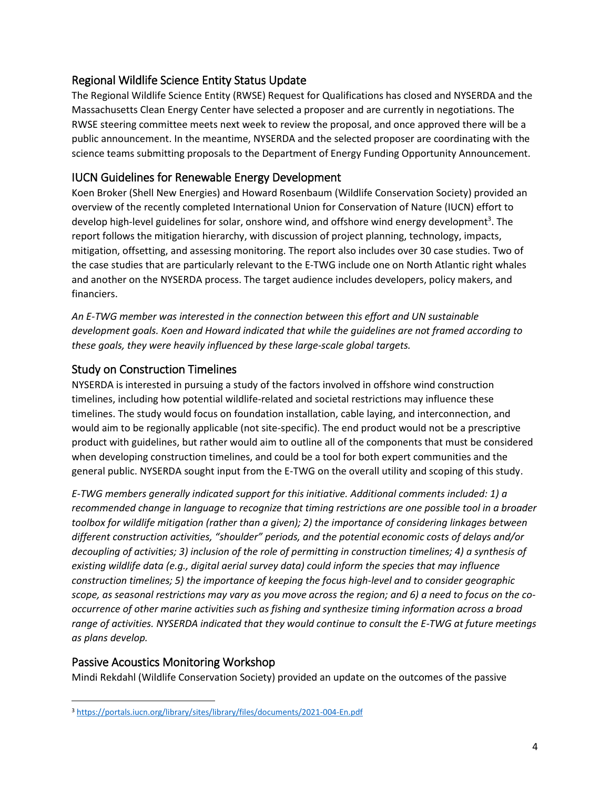## Regional Wildlife Science Entity Status Update

The Regional Wildlife Science Entity (RWSE) Request for Qualifications has closed and NYSERDA and the Massachusetts Clean Energy Center have selected a proposer and are currently in negotiations. The RWSE steering committee meets next week to review the proposal, and once approved there will be a public announcement. In the meantime, NYSERDA and the selected proposer are coordinating with the science teams submitting proposals to the Department of Energy Funding Opportunity Announcement.

#### IUCN Guidelines for Renewable Energy Development

Koen Broker (Shell New Energies) and Howard Rosenbaum (Wildlife Conservation Society) provided an overview of the recently completed International Union for Conservation of Nature (IUCN) effort to develop high-level guidelines for solar, onshore wind, and offshore wind energy development<sup>3</sup>. The report follows the mitigation hierarchy, with discussion of project planning, technology, impacts, mitigation, offsetting, and assessing monitoring. The report also includes over 30 case studies. Two of the case studies that are particularly relevant to the E-TWG include one on North Atlantic right whales and another on the NYSERDA process. The target audience includes developers, policy makers, and financiers.

*An E-TWG member was interested in the connection between this effort and UN sustainable development goals. Koen and Howard indicated that while the guidelines are not framed according to these goals, they were heavily influenced by these large-scale global targets.*

## Study on Construction Timelines

NYSERDA is interested in pursuing a study of the factors involved in offshore wind construction timelines, including how potential wildlife-related and societal restrictions may influence these timelines. The study would focus on foundation installation, cable laying, and interconnection, and would aim to be regionally applicable (not site-specific). The end product would not be a prescriptive product with guidelines, but rather would aim to outline all of the components that must be considered when developing construction timelines, and could be a tool for both expert communities and the general public. NYSERDA sought input from the E-TWG on the overall utility and scoping of this study.

*E-TWG members generally indicated support for this initiative. Additional comments included: 1) a recommended change in language to recognize that timing restrictions are one possible tool in a broader toolbox for wildlife mitigation (rather than a given); 2) the importance of considering linkages between different construction activities, "shoulder" periods, and the potential economic costs of delays and/or decoupling of activities; 3) inclusion of the role of permitting in construction timelines; 4) a synthesis of existing wildlife data (e.g., digital aerial survey data) could inform the species that may influence construction timelines; 5) the importance of keeping the focus high-level and to consider geographic scope, as seasonal restrictions may vary as you move across the region; and 6) a need to focus on the cooccurrence of other marine activities such as fishing and synthesize timing information across a broad range of activities. NYSERDA indicated that they would continue to consult the E-TWG at future meetings as plans develop.*

#### Passive Acoustics Monitoring Workshop

Mindi Rekdahl (Wildlife Conservation Society) provided an update on the outcomes of the passive

 $\overline{a}$ <sup>3</sup> <https://portals.iucn.org/library/sites/library/files/documents/2021-004-En.pdf>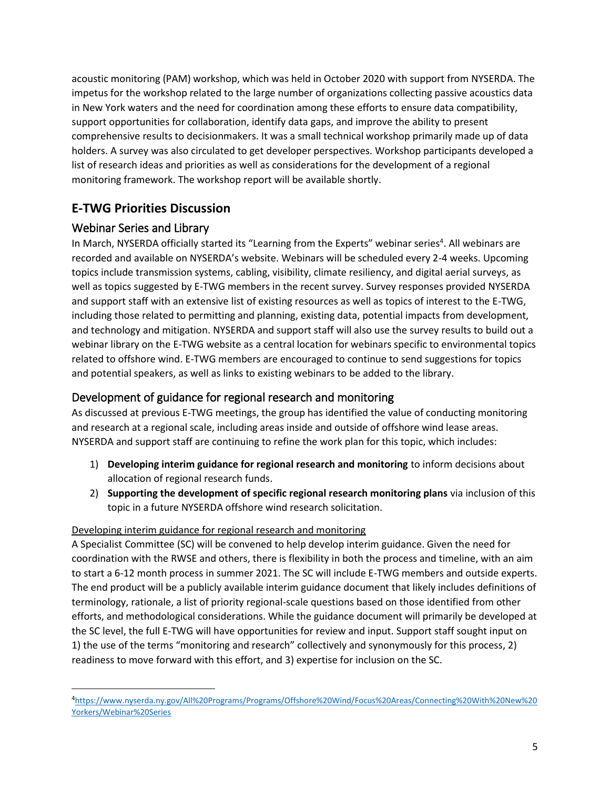acoustic monitoring (PAM) workshop, which was held in October 2020 with support from NYSERDA. The impetus for the workshop related to the large number of organizations collecting passive acoustics data in New York waters and the need for coordination among these efforts to ensure data compatibility, support opportunities for collaboration, identify data gaps, and improve the ability to present comprehensive results to decisionmakers. It was a small technical workshop primarily made up of data holders. A survey was also circulated to get developer perspectives. Workshop participants developed a list of research ideas and priorities as well as considerations for the development of a regional monitoring framework. The workshop report will be available shortly.

# **E-TWG Priorities Discussion**

## Webinar Series and Library

 $\overline{\phantom{a}}$ 

In March, NYSERDA officially started its "Learning from the Experts" webinar series<sup>4</sup>. All webinars are recorded and available on NYSERDA's website. Webinars will be scheduled every 2-4 weeks. Upcoming topics include transmission systems, cabling, visibility, climate resiliency, and digital aerial surveys, as well as topics suggested by E-TWG members in the recent survey. Survey responses provided NYSERDA and support staff with an extensive list of existing resources as well as topics of interest to the E-TWG, including those related to permitting and planning, existing data, potential impacts from development, and technology and mitigation. NYSERDA and support staff will also use the survey results to build out a webinar library on the E-TWG website as a central location for webinars specific to environmental topics related to offshore wind. E-TWG members are encouraged to continue to send suggestions for topics and potential speakers, as well as links to existing webinars to be added to the library.

#### Development of guidance for regional research and monitoring

As discussed at previous E-TWG meetings, the group has identified the value of conducting monitoring and research at a regional scale, including areas inside and outside of offshore wind lease areas. NYSERDA and support staff are continuing to refine the work plan for this topic, which includes:

- 1) **Developing interim guidance for regional research and monitoring** to inform decisions about allocation of regional research funds.
- 2) **Supporting the development of specific regional research monitoring plans** via inclusion of this topic in a future NYSERDA offshore wind research solicitation.

#### Developing interim guidance for regional research and monitoring

A Specialist Committee (SC) will be convened to help develop interim guidance. Given the need for coordination with the RWSE and others, there is flexibility in both the process and timeline, with an aim to start a 6-12 month process in summer 2021. The SC will include E-TWG members and outside experts. The end product will be a publicly available interim guidance document that likely includes definitions of terminology, rationale, a list of priority regional-scale questions based on those identified from other efforts, and methodological considerations. While the guidance document will primarily be developed at the SC level, the full E-TWG will have opportunities for review and input. Support staff sought input on 1) the use of the terms "monitoring and research" collectively and synonymously for this process, 2) readiness to move forward with this effort, and 3) expertise for inclusion on the SC.

<sup>4</sup>[https://www.nyserda.ny.gov/All%20Programs/Programs/Offshore%20Wind/Focus%20Areas/Connecting%20With%20New%20](https://www.nyserda.ny.gov/All%20Programs/Programs/Offshore%20Wind/Focus%20Areas/Connecting%20With%20New%20Yorkers/Webinar%20Series) [Yorkers/Webinar%20Series](https://www.nyserda.ny.gov/All%20Programs/Programs/Offshore%20Wind/Focus%20Areas/Connecting%20With%20New%20Yorkers/Webinar%20Series)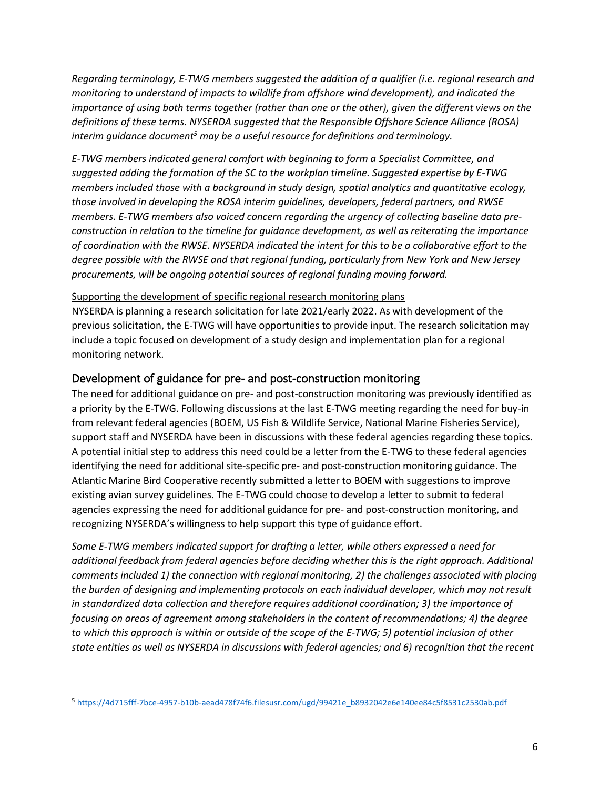*Regarding terminology, E-TWG members suggested the addition of a qualifier (i.e. regional research and monitoring to understand of impacts to wildlife from offshore wind development), and indicated the importance of using both terms together (rather than one or the other), given the different views on the definitions of these terms. NYSERDA suggested that the Responsible Offshore Science Alliance (ROSA) interim guidance document<sup>5</sup> may be a useful resource for definitions and terminology.*

*E-TWG members indicated general comfort with beginning to form a Specialist Committee, and suggested adding the formation of the SC to the workplan timeline. Suggested expertise by E-TWG members included those with a background in study design, spatial analytics and quantitative ecology, those involved in developing the ROSA interim guidelines, developers, federal partners, and RWSE members. E-TWG members also voiced concern regarding the urgency of collecting baseline data preconstruction in relation to the timeline for guidance development, as well as reiterating the importance of coordination with the RWSE. NYSERDA indicated the intent for this to be a collaborative effort to the degree possible with the RWSE and that regional funding, particularly from New York and New Jersey procurements, will be ongoing potential sources of regional funding moving forward.*

#### Supporting the development of specific regional research monitoring plans

NYSERDA is planning a research solicitation for late 2021/early 2022. As with development of the previous solicitation, the E-TWG will have opportunities to provide input. The research solicitation may include a topic focused on development of a study design and implementation plan for a regional monitoring network.

#### Development of guidance for pre- and post-construction monitoring

The need for additional guidance on pre- and post-construction monitoring was previously identified as a priority by the E-TWG. Following discussions at the last E-TWG meeting regarding the need for buy-in from relevant federal agencies (BOEM, US Fish & Wildlife Service, National Marine Fisheries Service), support staff and NYSERDA have been in discussions with these federal agencies regarding these topics. A potential initial step to address this need could be a letter from the E-TWG to these federal agencies identifying the need for additional site-specific pre- and post-construction monitoring guidance. The Atlantic Marine Bird Cooperative recently submitted a letter to BOEM with suggestions to improve existing avian survey guidelines. The E-TWG could choose to develop a letter to submit to federal agencies expressing the need for additional guidance for pre- and post-construction monitoring, and recognizing NYSERDA's willingness to help support this type of guidance effort.

*Some E-TWG members indicated support for drafting a letter, while others expressed a need for additional feedback from federal agencies before deciding whether this is the right approach. Additional comments included 1) the connection with regional monitoring, 2) the challenges associated with placing the burden of designing and implementing protocols on each individual developer, which may not result in standardized data collection and therefore requires additional coordination; 3) the importance of focusing on areas of agreement among stakeholders in the content of recommendations; 4) the degree to which this approach is within or outside of the scope of the E-TWG; 5) potential inclusion of other state entities as well as NYSERDA in discussions with federal agencies; and 6) recognition that the recent* 

l

<sup>5</sup> [https://4d715fff-7bce-4957-b10b-aead478f74f6.filesusr.com/ugd/99421e\\_b8932042e6e140ee84c5f8531c2530ab.pdf](https://4d715fff-7bce-4957-b10b-aead478f74f6.filesusr.com/ugd/99421e_b8932042e6e140ee84c5f8531c2530ab.pdf)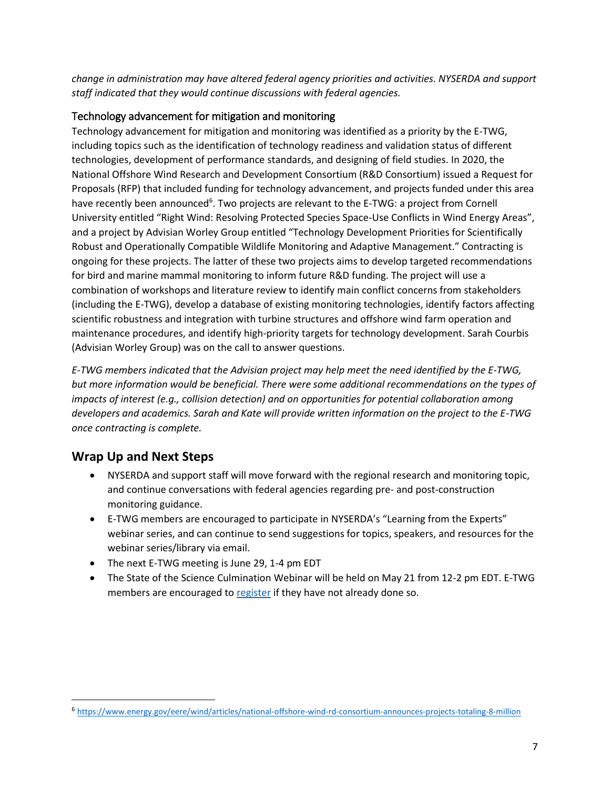*change in administration may have altered federal agency priorities and activities. NYSERDA and support staff indicated that they would continue discussions with federal agencies.*

#### Technology advancement for mitigation and monitoring

Technology advancement for mitigation and monitoring was identified as a priority by the E-TWG, including topics such as the identification of technology readiness and validation status of different technologies, development of performance standards, and designing of field studies. In 2020, the National Offshore Wind Research and Development Consortium (R&D Consortium) issued a Request for Proposals (RFP) that included funding for technology advancement, and projects funded under this area have recently been announced<sup>6</sup>. Two projects are relevant to the E-TWG: a project from Cornell University entitled "Right Wind: Resolving Protected Species Space-Use Conflicts in Wind Energy Areas", and a project by Advisian Worley Group entitled "Technology Development Priorities for Scientifically Robust and Operationally Compatible Wildlife Monitoring and Adaptive Management." Contracting is ongoing for these projects. The latter of these two projects aims to develop targeted recommendations for bird and marine mammal monitoring to inform future R&D funding. The project will use a combination of workshops and literature review to identify main conflict concerns from stakeholders (including the E-TWG), develop a database of existing monitoring technologies, identify factors affecting scientific robustness and integration with turbine structures and offshore wind farm operation and maintenance procedures, and identify high-priority targets for technology development. Sarah Courbis (Advisian Worley Group) was on the call to answer questions.

*E-TWG members indicated that the Advisian project may help meet the need identified by the E-TWG, but more information would be beneficial. There were some additional recommendations on the types of impacts of interest (e.g., collision detection) and on opportunities for potential collaboration among developers and academics. Sarah and Kate will provide written information on the project to the E-TWG once contracting is complete.*

## **Wrap Up and Next Steps**

 $\overline{\phantom{a}}$ 

- NYSERDA and support staff will move forward with the regional research and monitoring topic, and continue conversations with federal agencies regarding pre- and post-construction monitoring guidance.
- E-TWG members are encouraged to participate in NYSERDA's "Learning from the Experts" webinar series, and can continue to send suggestions for topics, speakers, and resources for the webinar series/library via email.
- The next E-TWG meeting is June 29, 1-4 pm EDT
- The State of the Science Culmination Webinar will be held on May 21 from 12-2 pm EDT. E-TWG members are encouraged to [register](https://www.eventbrite.com/e/state-of-the-science-culmination-webinar-tickets-146815895295) if they have not already done so.

<sup>6</sup> <https://www.energy.gov/eere/wind/articles/national-offshore-wind-rd-consortium-announces-projects-totaling-8-million>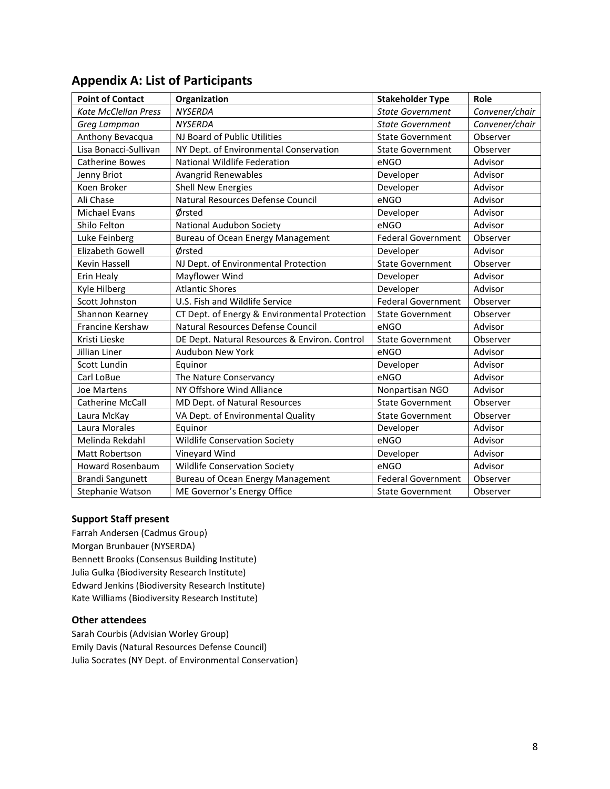| <b>Point of Contact</b>     | Organization                                  | <b>Stakeholder Type</b>   | Role           |
|-----------------------------|-----------------------------------------------|---------------------------|----------------|
| <b>Kate McClellan Press</b> | <b>NYSERDA</b>                                | <b>State Government</b>   | Convener/chair |
| Greg Lampman                | <b>NYSERDA</b>                                | <b>State Government</b>   | Convener/chair |
| Anthony Bevacqua            | NJ Board of Public Utilities                  | <b>State Government</b>   | Observer       |
| Lisa Bonacci-Sullivan       | NY Dept. of Environmental Conservation        | <b>State Government</b>   | Observer       |
| <b>Catherine Bowes</b>      | National Wildlife Federation                  | eNGO                      | Advisor        |
| Jenny Briot                 | Avangrid Renewables                           | Developer                 | Advisor        |
| Koen Broker                 | <b>Shell New Energies</b>                     | Developer                 | Advisor        |
| Ali Chase                   | Natural Resources Defense Council             | eNGO                      | Advisor        |
| <b>Michael Evans</b>        | Ørsted                                        | Developer                 | Advisor        |
| Shilo Felton                | National Audubon Society                      | eNGO                      | Advisor        |
| Luke Feinberg               | <b>Bureau of Ocean Energy Management</b>      | <b>Federal Government</b> | Observer       |
| Elizabeth Gowell            | Ørsted                                        | Developer                 | Advisor        |
| Kevin Hassell               | NJ Dept. of Environmental Protection          | <b>State Government</b>   | Observer       |
| Erin Healy                  | Mayflower Wind                                | Developer                 | Advisor        |
| Kyle Hilberg                | <b>Atlantic Shores</b>                        | Developer                 | Advisor        |
| Scott Johnston              | U.S. Fish and Wildlife Service                | <b>Federal Government</b> | Observer       |
| Shannon Kearney             | CT Dept. of Energy & Environmental Protection | <b>State Government</b>   | Observer       |
| Francine Kershaw            | Natural Resources Defense Council             | eNGO                      | Advisor        |
| Kristi Lieske               | DE Dept. Natural Resources & Environ. Control | <b>State Government</b>   | Observer       |
| Jillian Liner               | Audubon New York                              | eNGO                      | Advisor        |
| Scott Lundin                | Equinor                                       | Developer                 | Advisor        |
| Carl LoBue                  | The Nature Conservancy                        | eNGO                      | Advisor        |
| Joe Martens                 | NY Offshore Wind Alliance                     | Nonpartisan NGO           | Advisor        |
| <b>Catherine McCall</b>     | MD Dept. of Natural Resources                 | <b>State Government</b>   | Observer       |
| Laura McKay                 | VA Dept. of Environmental Quality             | <b>State Government</b>   | Observer       |
| Laura Morales               | Equinor                                       | Developer                 | Advisor        |
| Melinda Rekdahl             | <b>Wildlife Conservation Society</b>          | eNGO                      | Advisor        |
| Matt Robertson              | Vineyard Wind                                 | Developer                 | Advisor        |
| <b>Howard Rosenbaum</b>     | <b>Wildlife Conservation Society</b>          | eNGO                      | Advisor        |
| <b>Brandi Sangunett</b>     | <b>Bureau of Ocean Energy Management</b>      | <b>Federal Government</b> | Observer       |
| Stephanie Watson            | ME Governor's Energy Office                   | <b>State Government</b>   | Observer       |

## **Appendix A: List of Participants**

#### **Support Staff present**

Farrah Andersen (Cadmus Group) Morgan Brunbauer (NYSERDA) Bennett Brooks (Consensus Building Institute) Julia Gulka (Biodiversity Research Institute) Edward Jenkins (Biodiversity Research Institute) Kate Williams (Biodiversity Research Institute)

#### **Other attendees**

Sarah Courbis (Advisian Worley Group) Emily Davis (Natural Resources Defense Council) Julia Socrates (NY Dept. of Environmental Conservation)